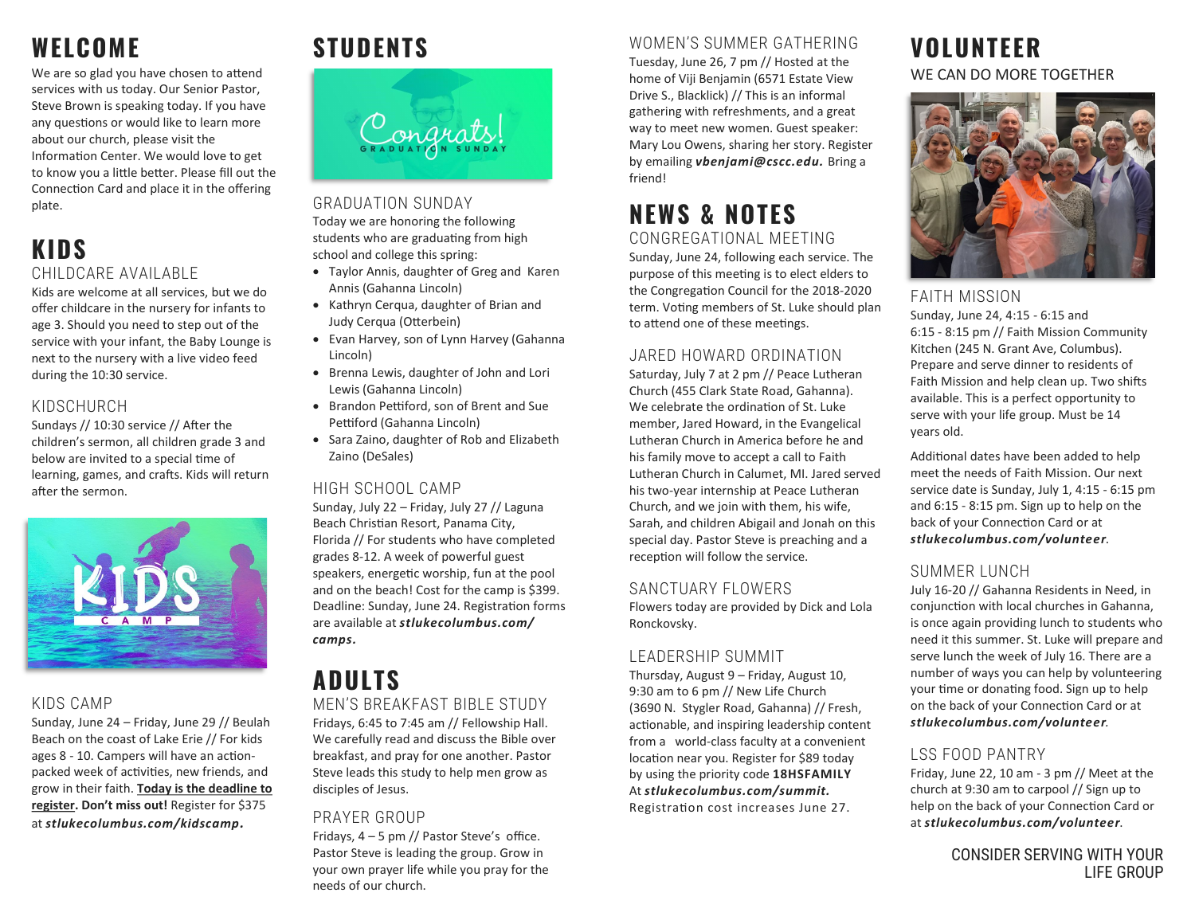# **WELCOME**

We are so glad you have chosen to attend services with us today. Our Senior Pastor, Steve Brown is speaking today. If you have any questions or would like to learn more about our church, please visit the Information Center. We would love to get to know you a little better. Please fill out the Connection Card and place it in the offering plate.

## **KIDS** CHILDCARE AVAILABLE

Kids are welcome at all services, but we do offer childcare in the nursery for infants to age 3. Should you need to step out of the service with your infant, the Baby Lounge is next to the nursery with a live video feed during the 10:30 service.

## KIDSCHURCH

Sundays // 10:30 service // After the children's sermon, all children grade 3 and below are invited to a special time of learning, games, and crafts. Kids will return after the sermon.



### KIDS CAMP

Sunday, June 24 – Friday, June 29 // Beulah Beach on the coast of Lake Erie // For kids ages 8 - 10. Campers will have an actionpacked week of activities, new friends, and grow in their faith. **Today is the deadline to register. Don't miss out!** Register for \$375 at *stlukecolumbus.com/kidscamp.* 

# **STUDENTS**



GRADUATION SUNDAY Today we are honoring the following students who are graduating from high school and college this spring:

- Taylor Annis, daughter of Greg and Karen Annis (Gahanna Lincoln)
- Kathryn Cerqua, daughter of Brian and Judy Cerqua (Otterbein)
- Evan Harvey, son of Lynn Harvey (Gahanna Lincoln)
- Brenna Lewis, daughter of John and Lori Lewis (Gahanna Lincoln)
- Brandon Pettiford, son of Brent and Sue Pettiford (Gahanna Lincoln)
- Sara Zaino, daughter of Rob and Elizabeth Zaino (DeSales)

### HIGH SCHOOL CAMP

Sunday, July 22 – Friday, July 27 // Laguna Beach Christian Resort, Panama City, Florida // For students who have completed grades 8-12. A week of powerful guest speakers, energetic worship, fun at the pool and on the beach! Cost for the camp is \$399. Deadline: Sunday, June 24. Registration forms are available at *stlukecolumbus.com/ camps.* 

## **ADULTS** MEN'S BREAKFAST BIBLE STUDY

Fridays, 6:45 to 7:45 am // Fellowship Hall. We carefully read and discuss the Bible over breakfast, and pray for one another. Pastor Steve leads this study to help men grow as disciples of Jesus.

### PRAYER GROUP

Fridays, 4 – 5 pm // Pastor Steve's office. Pastor Steve is leading the group. Grow in your own prayer life while you pray for the needs of our church.

## WOMEN'S SUMMER GATHERING

Tuesday, June 26, 7 pm // Hosted at the home of Viji Benjamin (6571 Estate View Drive S., Blacklick) // This is an informal gathering with refreshments, and a great way to meet new women. Guest speaker: Mary Lou Owens, sharing her story. Register by emailing *vbenjami@cscc.edu.* Bring a friend!

## **NEWS & NOTES** CONGREGATIONAL MEETING

Sunday, June 24, following each service. The purpose of this meeting is to elect elders to the Congregation Council for the 2018-2020 term. Voting members of St. Luke should plan to attend one of these meetings.

### JARED HOWARD ORDINATION

Saturday, July 7 at 2 pm // Peace Lutheran Church (455 Clark State Road, Gahanna). We celebrate the ordination of St. Luke member, Jared Howard, in the Evangelical Lutheran Church in America before he and his family move to accept a call to Faith Lutheran Church in Calumet, MI. Jared served his two-year internship at Peace Lutheran Church, and we join with them, his wife, Sarah, and children Abigail and Jonah on this special day. Pastor Steve is preaching and a reception will follow the service.

### SANCTUARY FLOWERS

Flowers today are provided by Dick and Lola Ronckovsky.

### LEADERSHIP SUMMIT

Thursday, August 9 – Friday, August 10, 9:30 am to 6 pm // New Life Church (3690 N. Stygler Road, Gahanna) // Fresh, actionable, and inspiring leadership content from a world-class faculty at a convenient location near you. Register for \$89 today by using the priority code **18HSFAMILY** At *stlukecolumbus.com/summit.* Registration cost increases June 27.

## **VOLUNTEER** WE CAN DO MORE TOGETHER



### FAITH MISSION

Sunday, June 24, 4:15 - 6:15 and 6:15 - 8:15 pm // Faith Mission Community Kitchen (245 N. Grant Ave, Columbus). Prepare and serve dinner to residents of Faith Mission and help clean up. Two shifts available. This is a perfect opportunity to serve with your life group. Must be 14 years old.

Additional dates have been added to help meet the needs of Faith Mission. Our next service date is Sunday, July 1, 4:15 - 6:15 pm and 6:15 - 8:15 pm. Sign up to help on the back of your Connection Card or at *stlukecolumbus.com/volunteer*.

## SUMMER LUNCH

July 16-20 // Gahanna Residents in Need, in conjunction with local churches in Gahanna, is once again providing lunch to students who need it this summer. St. Luke will prepare and serve lunch the week of July 16. There are a number of ways you can help by volunteering your time or donating food. Sign up to help on the back of your Connection Card or at *stlukecolumbus.com/volunteer.*

## LSS FOOD PANTRY

Friday, June 22, 10 am - 3 pm // Meet at the church at 9:30 am to carpool // Sign up to help on the back of your Connection Card or at *stlukecolumbus.com/volunteer*.

> CONSIDER SERVING WITH YOUR LIFE GROUP